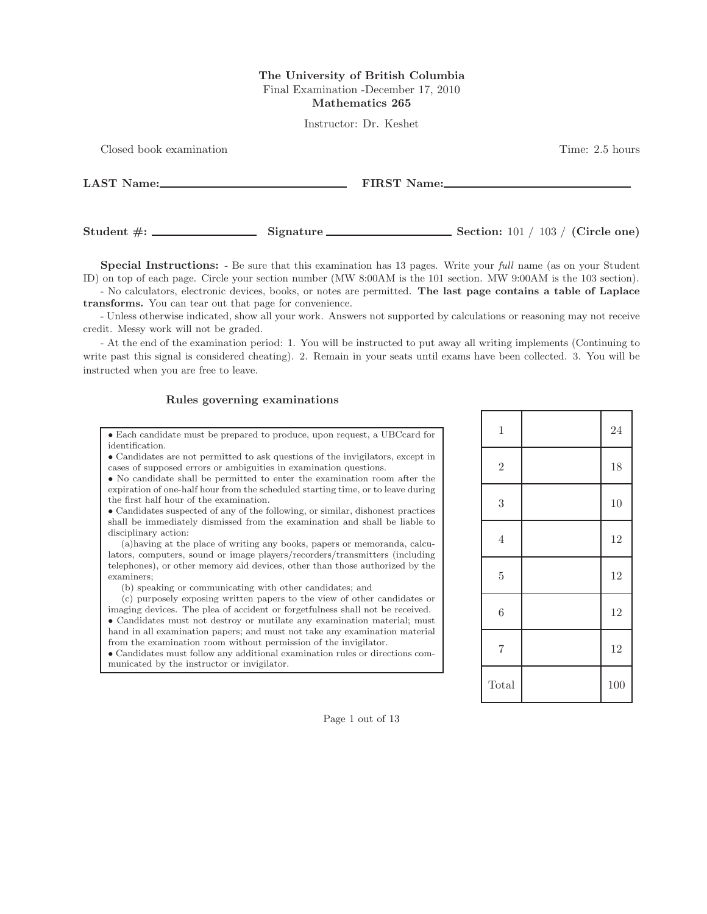### The University of British Columbia Final Examination -December 17, 2010 Mathematics 265

Instructor: Dr. Keshet

| Closed book examination                                                                                                                                                                                                        |           |             | Time: 2.5 hours                     |
|--------------------------------------------------------------------------------------------------------------------------------------------------------------------------------------------------------------------------------|-----------|-------------|-------------------------------------|
| LAST Name: 2008 and 2008 and 2008 and 2008 and 2008 and 2008 and 2008 and 2008 and 2008 and 2008 and 2008 and 2008 and 2008 and 2008 and 2008 and 2008 and 2008 and 2008 and 2008 and 2008 and 2008 and 2008 and 2008 and 2008 |           | FIRST Name: |                                     |
|                                                                                                                                                                                                                                | Signature |             | Section: $101 / 103 /$ (Circle one) |

Special Instructions: - Be sure that this examination has 13 pages. Write your full name (as on your Student ID) on top of each page. Circle your section number (MW 8:00AM is the 101 section. MW 9:00AM is the 103 section).

- No calculators, electronic devices, books, or notes are permitted. The last page contains a table of Laplace transforms. You can tear out that page for convenience.

- Unless otherwise indicated, show all your work. Answers not supported by calculations or reasoning may not receive credit. Messy work will not be graded.

- At the end of the examination period: 1. You will be instructed to put away all writing implements (Continuing to write past this signal is considered cheating). 2. Remain in your seats until exams have been collected. 3. You will be instructed when you are free to leave.

#### Rules governing examinations

• Each candidate must be prepared to produce, upon request, a UBCcard for identification.

• Candidates are not permitted to ask questions of the invigilators, except in cases of supposed errors or ambiguities in examination questions.

• No candidate shall be permitted to enter the examination room after the expiration of one-half hour from the scheduled starting time, or to leave during the first half hour of the examination.

• Candidates suspected of any of the following, or similar, dishonest practices shall be immediately dismissed from the examination and shall be liable to disciplinary action:

(a)having at the place of writing any books, papers or memoranda, calculators, computers, sound or image players/recorders/transmitters (including telephones), or other memory aid devices, other than those authorized by the examiners;

(b) speaking or communicating with other candidates; and

(c) purposely exposing written papers to the view of other candidates or imaging devices. The plea of accident or forgetfulness shall not be received. • Candidates must not destroy or mutilate any examination material; must hand in all examination papers; and must not take any examination material from the examination room without permission of the invigilator.

• Candidates must follow any additional examination rules or directions communicated by the instructor or invigilator.

| $\,1$          | 24  |
|----------------|-----|
| $\overline{2}$ | 18  |
| $\sqrt{3}$     | 10  |
| $\,4\,$        | 12  |
| $\overline{5}$ | 12  |
| $\overline{6}$ | 12  |
| $\,7$          | 12  |
| Total          | 100 |

Page 1 out of 13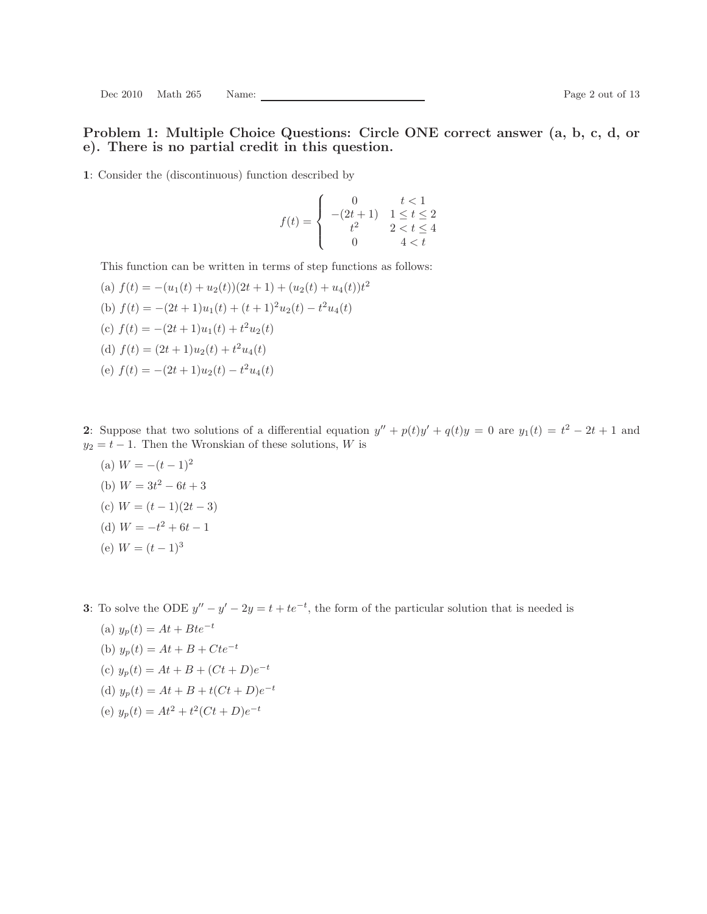### Problem 1: Multiple Choice Questions: Circle ONE correct answer (a, b, c, d, or e). There is no partial credit in this question.

1: Consider the (discontinuous) function described by

$$
f(t) = \begin{cases} 0 & t < 1 \\ -(2t+1) & 1 \le t \le 2 \\ t^2 & 2 < t \le 4 \\ 0 & 4 < t \end{cases}
$$

This function can be written in terms of step functions as follows:

(a) 
$$
f(t) = -(u_1(t) + u_2(t))(2t + 1) + (u_2(t) + u_4(t))t^2
$$
  
\n(b)  $f(t) = -(2t + 1)u_1(t) + (t + 1)^2u_2(t) - t^2u_4(t)$   
\n(c)  $f(t) = -(2t + 1)u_1(t) + t^2u_2(t)$   
\n(d)  $f(t) = (2t + 1)u_2(t) + t^2u_4(t)$ 

(e)  $f(t) = -(2t+1)u_2(t) - t^2u_4(t)$ 

2: Suppose that two solutions of a differential equation  $y'' + p(t)y' + q(t)y = 0$  are  $y_1(t) = t^2 - 2t + 1$  and  $y_2 = t - 1$ . Then the Wronskian of these solutions, W is

(a)  $W = -(t-1)^2$ (b)  $W = 3t^2 - 6t + 3$ (c)  $W = (t-1)(2t-3)$ (d)  $W = -t^2 + 6t - 1$ (e)  $W = (t-1)^3$ 

3: To solve the ODE  $y'' - y' - 2y = t + te^{-t}$ , the form of the particular solution that is needed is

(a) 
$$
y_p(t) = At + Bte^{-t}
$$
  
\n(b)  $y_p(t) = At + B + Cte^{-t}$   
\n(c)  $y_p(t) = At + B + (Ct + D)e^{-t}$   
\n(d)  $y_p(t) = At + B + t(Ct + D)e^{-t}$   
\n(e)  $y_p(t) = At^2 + t^2(Ct + D)e^{-t}$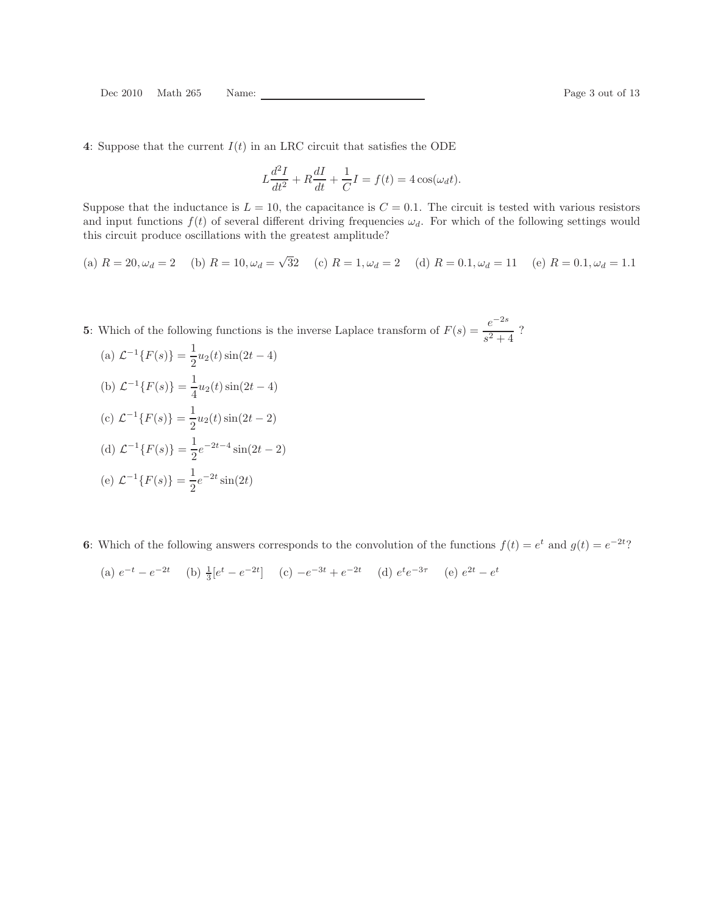4: Suppose that the current  $I(t)$  in an LRC circuit that satisfies the ODE

$$
L\frac{d^2I}{dt^2} + R\frac{dI}{dt} + \frac{1}{C}I = f(t) = 4\cos(\omega_d t).
$$

Suppose that the inductance is  $L = 10$ , the capacitance is  $C = 0.1$ . The circuit is tested with various resistors and input functions  $f(t)$  of several different driving frequencies  $\omega_d$ . For which of the following settings would this circuit produce oscillations with the greatest amplitude?

(a) 
$$
R = 20, \omega_d = 2
$$
 (b)  $R = 10, \omega_d = \sqrt{32}$  (c)  $R = 1, \omega_d = 2$  (d)  $R = 0.1, \omega_d = 11$  (e)  $R = 0.1, \omega_d = 1.1$ 

**5**: Which of the following functions is the inverse Laplace transform of  $F(s) = \frac{e^{-2s}}{2}$  $\frac{c}{s^2+4}$ ?

(a)  $\mathcal{L}^{-1}{F(s)} = \frac{1}{2}$  $\frac{1}{2}u_2(t)\sin(2t-4)$ (b)  $\mathcal{L}^{-1}{F(s)} = \frac{1}{4}$  $\frac{1}{4}u_2(t)\sin(2t-4)$ 

(c) 
$$
\mathcal{L}^{-1}{F(s)} = \frac{1}{2}u_2(t)\sin(2t-2)
$$

(d) 
$$
\mathcal{L}^{-1}{F(s)} = \frac{1}{2}e^{-2t-4}\sin(2t-2)
$$
  
(e)  $\mathcal{L}^{-1}{F(s)} = \frac{1}{2}e^{-2t}\sin(2t)$ 

6: Which of the following answers corresponds to the convolution of the functions  $f(t) = e^t$  and  $g(t) = e^{-2t}$ ?

(a) 
$$
e^{-t} - e^{-2t}
$$
 (b)  $\frac{1}{3}[e^t - e^{-2t}]$  (c)  $-e^{-3t} + e^{-2t}$  (d)  $e^t e^{-3\tau}$  (e)  $e^{2t} - e^t$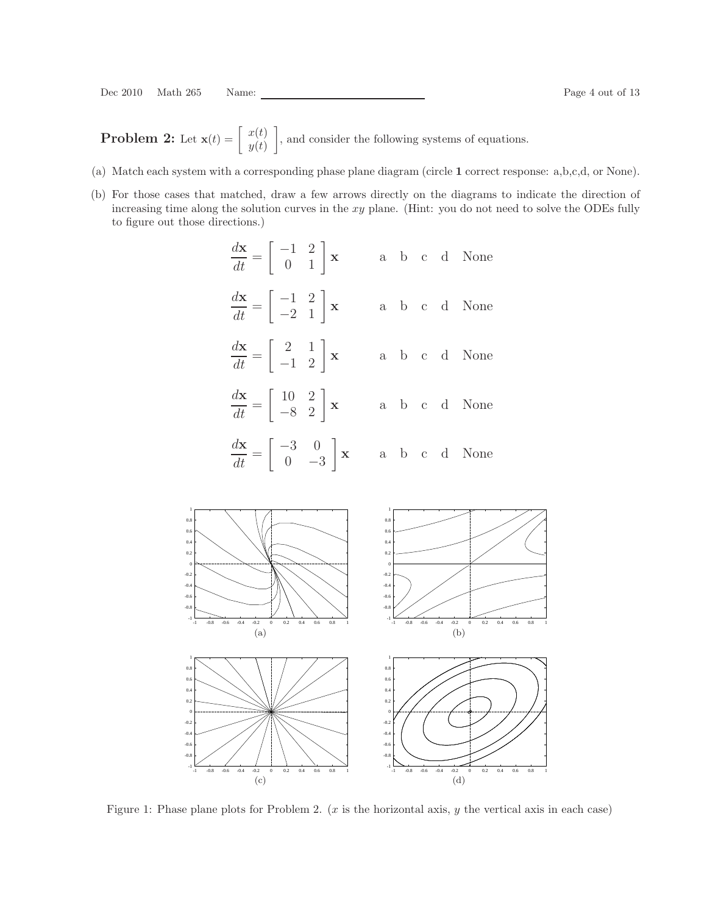**Problem 2:** Let  $\mathbf{x}(t) = \begin{bmatrix} x(t) \\ y(t) \end{bmatrix}$  $y(t)$ , and consider the following systems of equations.

- (a) Match each system with a corresponding phase plane diagram (circle 1 correct response: a,b,c,d, or None).
- (b) For those cases that matched, draw a few arrows directly on the diagrams to indicate the direction of increasing time along the solution curves in the xy plane. (Hint: you do not need to solve the ODEs fully to figure out those directions.)

| $\frac{d\mathbf{x}}{dt} = \begin{bmatrix} -1 & 2 \\ 0 & 1 \end{bmatrix} \mathbf{x}$  |  |  | a b c d None                                                                        |
|--------------------------------------------------------------------------------------|--|--|-------------------------------------------------------------------------------------|
| $\frac{d\mathbf{x}}{dt} = \begin{bmatrix} -1 & 2 \\ -2 & 1 \end{bmatrix} \mathbf{x}$ |  |  | $\mathbf{a}$ b $\mathbf{c}$ d None                                                  |
| $\frac{d\mathbf{x}}{dt} = \begin{bmatrix} 2 & 1 \\ -1 & 2 \end{bmatrix} \mathbf{x}$  |  |  | a b c d None                                                                        |
| $\frac{d\mathbf{x}}{dt} = \begin{bmatrix} 10 & 2 \\ -8 & 2 \end{bmatrix} \mathbf{x}$ |  |  | a b c d None                                                                        |
| $\frac{d\mathbf{x}}{dt} = \begin{bmatrix} -3 & 0 \\ 0 & -3 \end{bmatrix} \mathbf{x}$ |  |  | $\mathbf{a} \quad \mathbf{b} \quad \mathbf{c} \quad \mathbf{d} \quad \mathbf{None}$ |



Figure 1: Phase plane plots for Problem 2. (x is the horizontal axis, y the vertical axis in each case)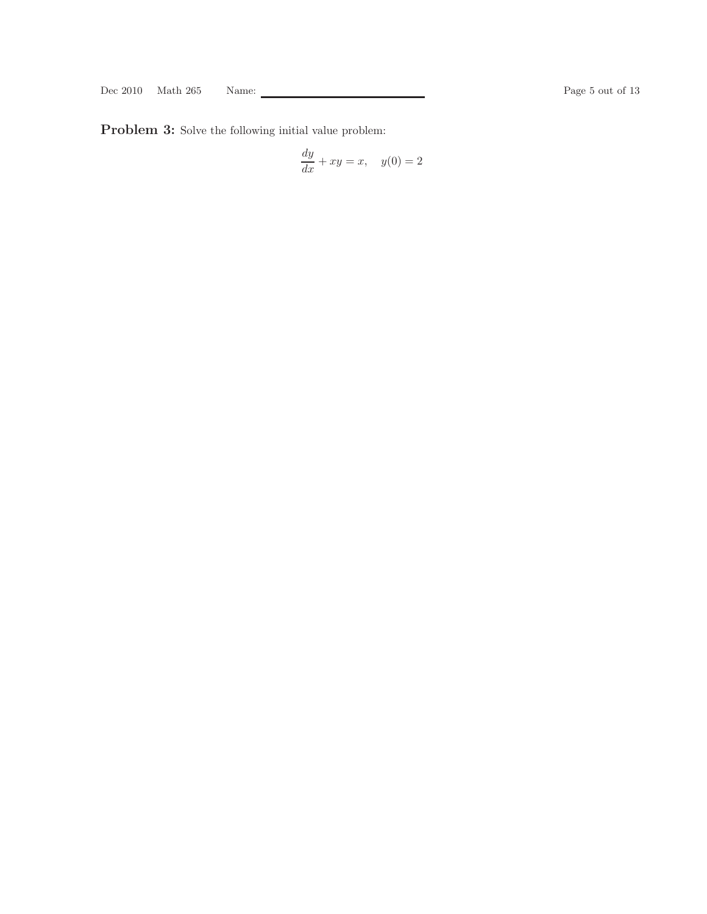Problem 3: Solve the following initial value problem:

$$
\frac{dy}{dx} + xy = x, \quad y(0) = 2
$$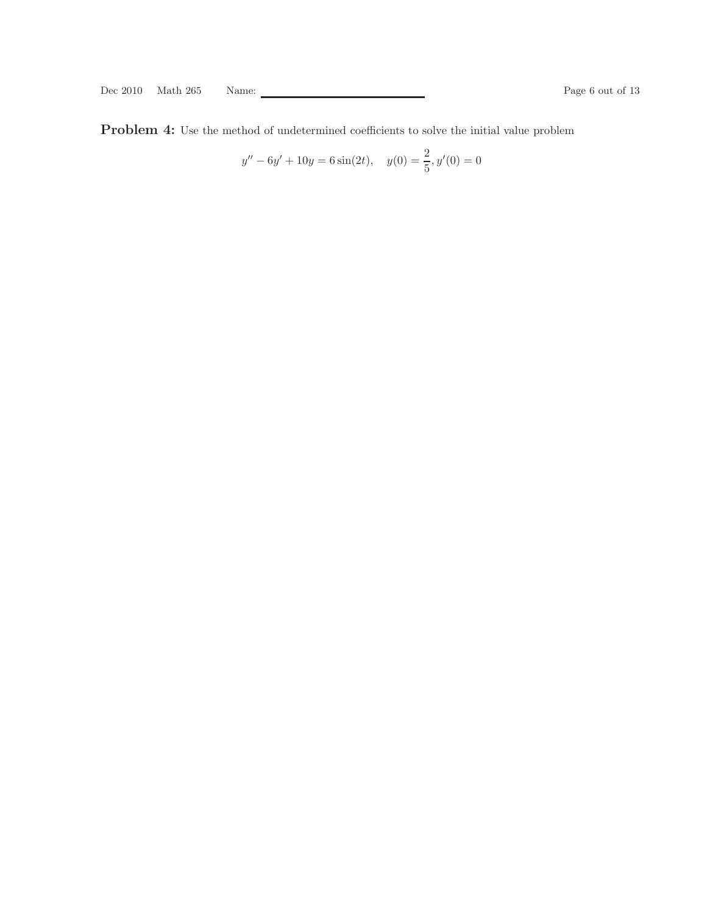Problem 4: Use the method of undetermined coefficients to solve the initial value problem

$$
y'' - 6y' + 10y = 6\sin(2t), \quad y(0) = \frac{2}{5}, y'(0) = 0
$$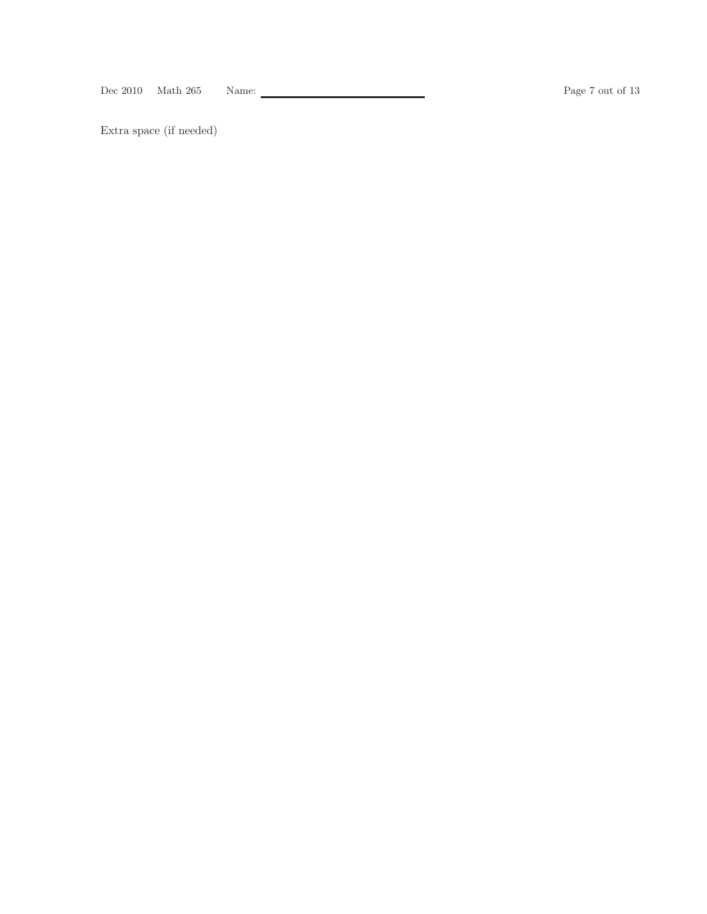Dec 2010 Math 265 Name: Page 7 out of 13

Extra space (if needed)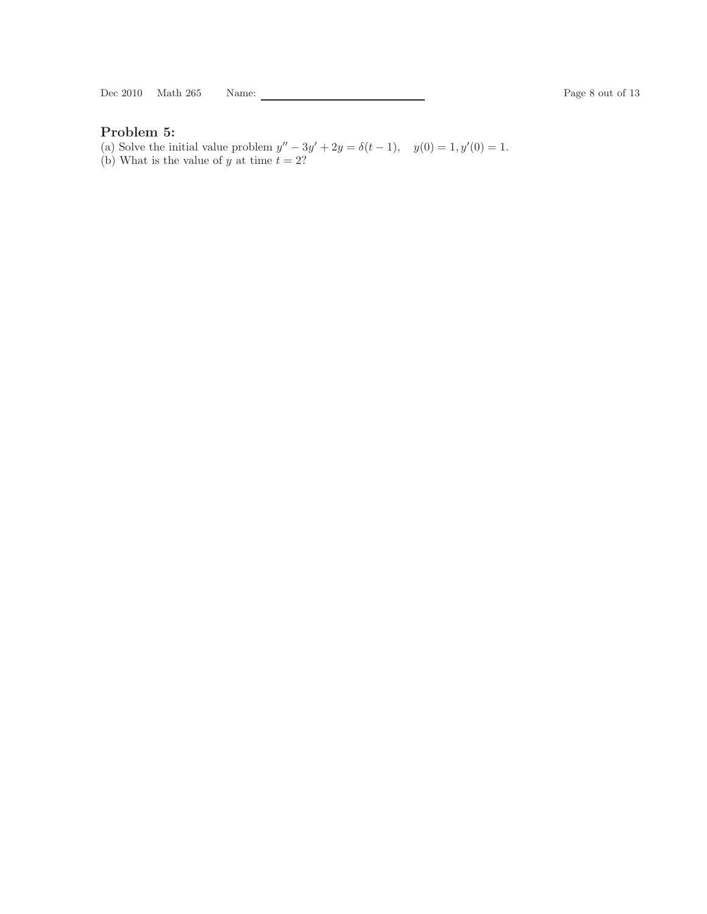Dec 2010 Math 265 Name: Page 8 out of 13

# Problem 5:

(a) Solve the initial value problem  $y'' - 3y' + 2y = \delta(t - 1)$ ,  $y(0) = 1$ ,  $y'(0) = 1$ . (b) What is the value of y at time  $t = 2$ ?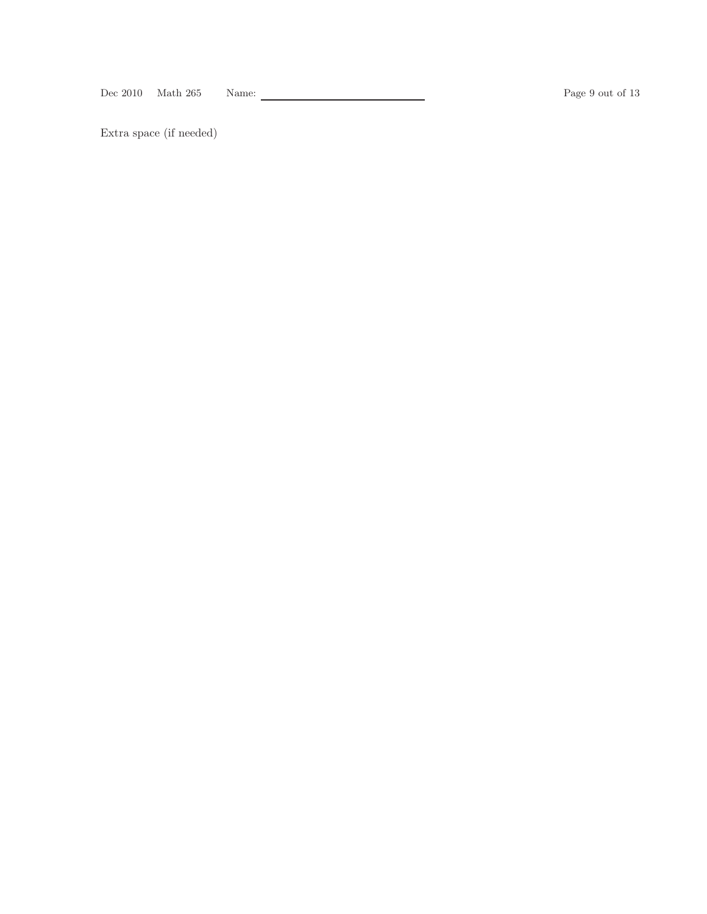Dec 2010 Math 265 Name: Page 9 out of 13

Extra space (if needed)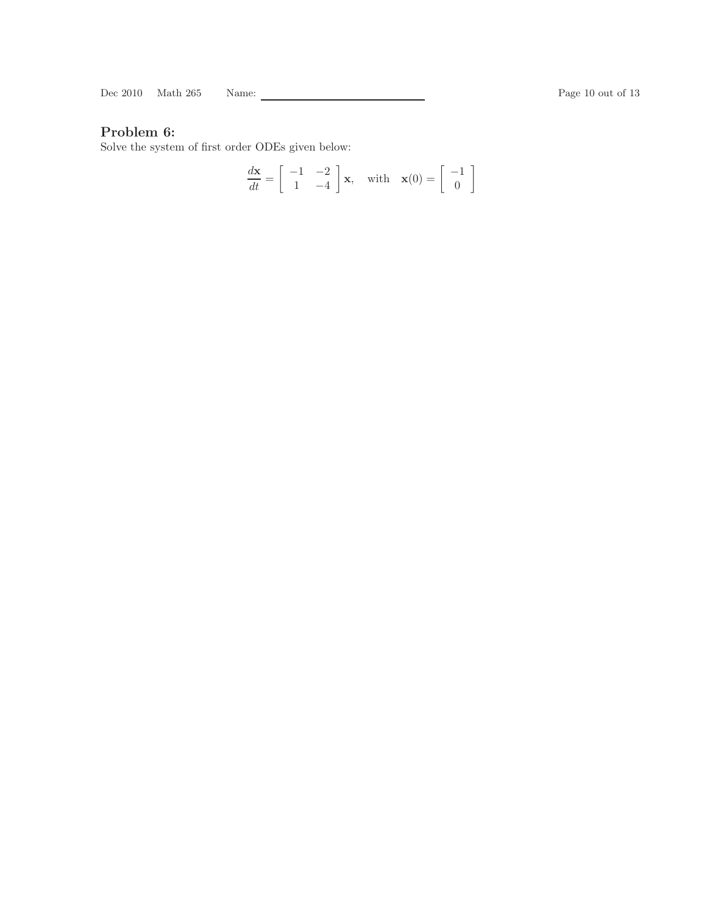Dec 2010 Math 265 Name: Page 10 out of 13

# Problem 6:

Solve the system of first order ODEs given below:

$$
\frac{d\mathbf{x}}{dt} = \begin{bmatrix} -1 & -2 \\ 1 & -4 \end{bmatrix} \mathbf{x}, \text{ with } \mathbf{x}(0) = \begin{bmatrix} -1 \\ 0 \end{bmatrix}
$$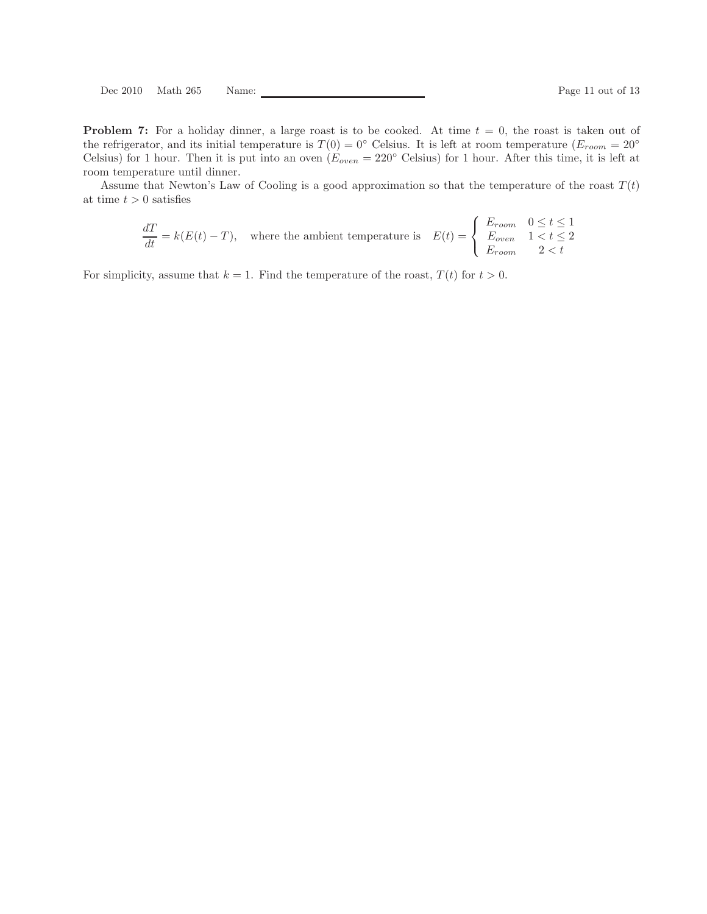**Problem 7:** For a holiday dinner, a large roast is to be cooked. At time  $t = 0$ , the roast is taken out of the refrigerator, and its initial temperature is  $T(0) = 0$ ° Celsius. It is left at room temperature  $(E_{room} = 20°$ Celsius) for 1 hour. Then it is put into an oven  $(E_{oven} = 220^{\circ}$  Celsius) for 1 hour. After this time, it is left at room temperature until dinner.

Assume that Newton's Law of Cooling is a good approximation so that the temperature of the roast  $T(t)$ at time  $t > 0$  satisfies

$$
\frac{dT}{dt} = k(E(t) - T),
$$
 where the ambient temperature is 
$$
E(t) = \begin{cases} E_{room} & 0 \le t \le 1 \\ E_{oven} & 1 < t \le 2 \\ E_{room} & 2 < t \end{cases}
$$

For simplicity, assume that  $k = 1$ . Find the temperature of the roast,  $T(t)$  for  $t > 0$ .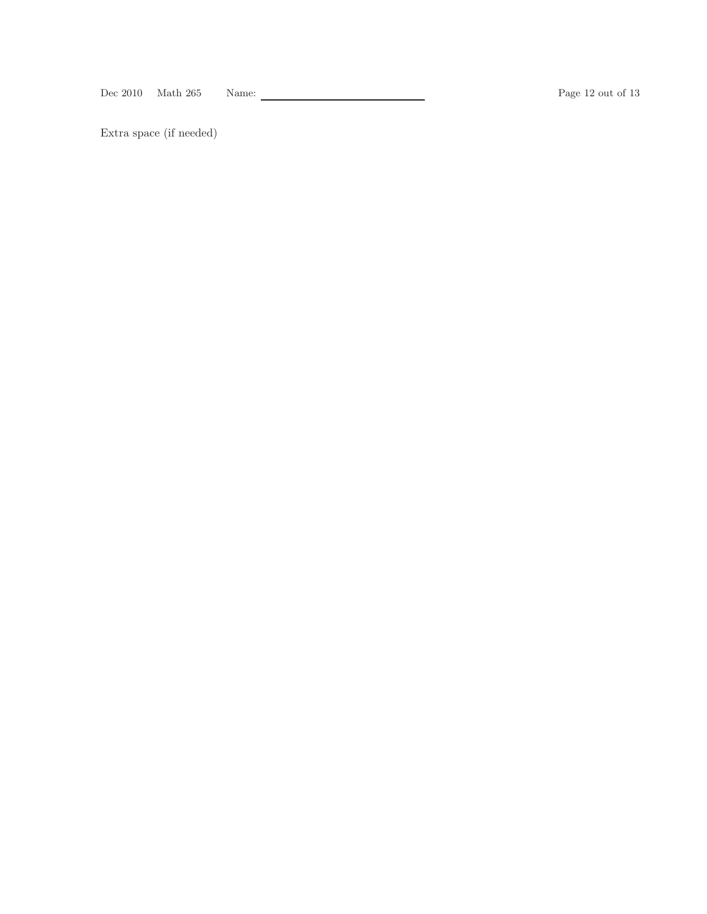Dec 2010 Math 265 Name: Page 12 out of 13

Extra space (if needed)